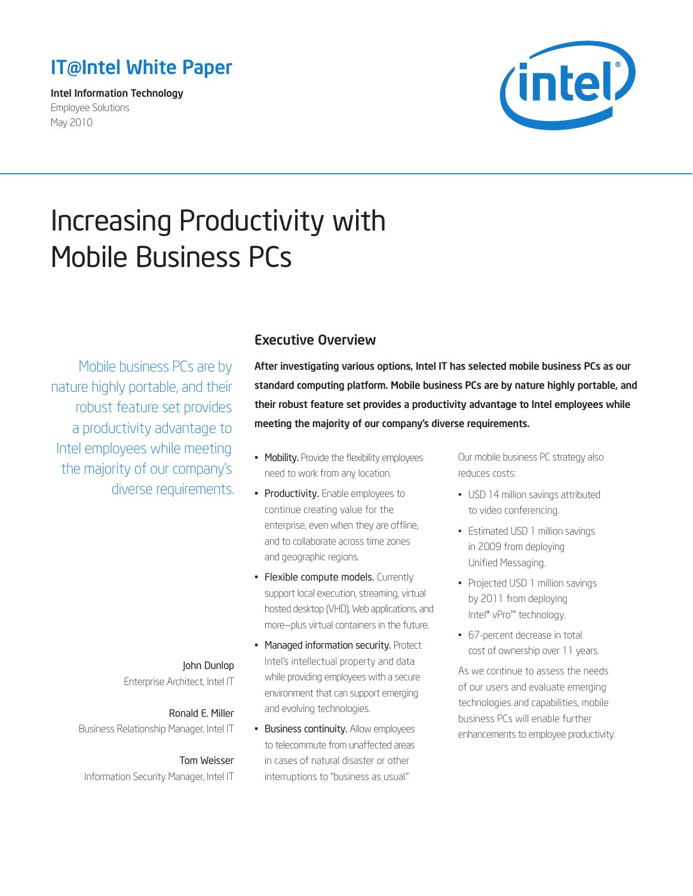# <span id="page-0-0"></span>IT@Intel White Paper

Intel Information Technology Employee Solutions May 2010



# Increasing Productivity with Mobile Business PCs

Mobile business PCs are by nature highly portable, and their robust feature set provides a productivity advantage to Intel employees while meeting the majority of our company's diverse requirements.

# Executive Overview

After investigating various options, Intel IT has selected mobile business PCs as our standard computing platform. Mobile business PCs are by nature highly portable, and their robust feature set provides a productivity advantage to Intel employees while meeting the majority of our company's diverse requirements.

- Mobility. Provide the flexibility employees need to work from any location.
- Productivity. Enable employees to continue creating value for the enterprise, even when they are offline, and to collaborate across time zones and geographic regions.
- Flexible compute models. Currently support local execution, streaming, virtual hosted desktop (VHD), Web applications, and more—plus virtual containers in the future.
- Managed information security. Protect Intel's intellectual property and data while providing employees with a secure environment that can support emerging and evolving technologies.
- **Business continuity.** Allow employees to telecommute from unaffected areas in cases of natural disaster or other interruptions to "business as usual."

Our mobile business PC strategy also reduces costs:

- USD 14 million savings attributed to video conferencing.
- Estimated USD 1 million savings in 2009 from deploying Unified Messaging.
- Projected USD 1 million savings by 2011 from deploying Intel® vPro™ technology.
- 67-percent decrease in total cost of ownership over 11 years.

As we continue to assess the needs of our users and evaluate emerging technologies and capabilities, mobile business PCs will enable further enhancements to employee productivity.

# John Dunlop

Enterprise Architect, Intel IT

Ronald E. Miller Business Relationship Manager, Intel IT

# Tom Weisser

Information Security Manager, Intel IT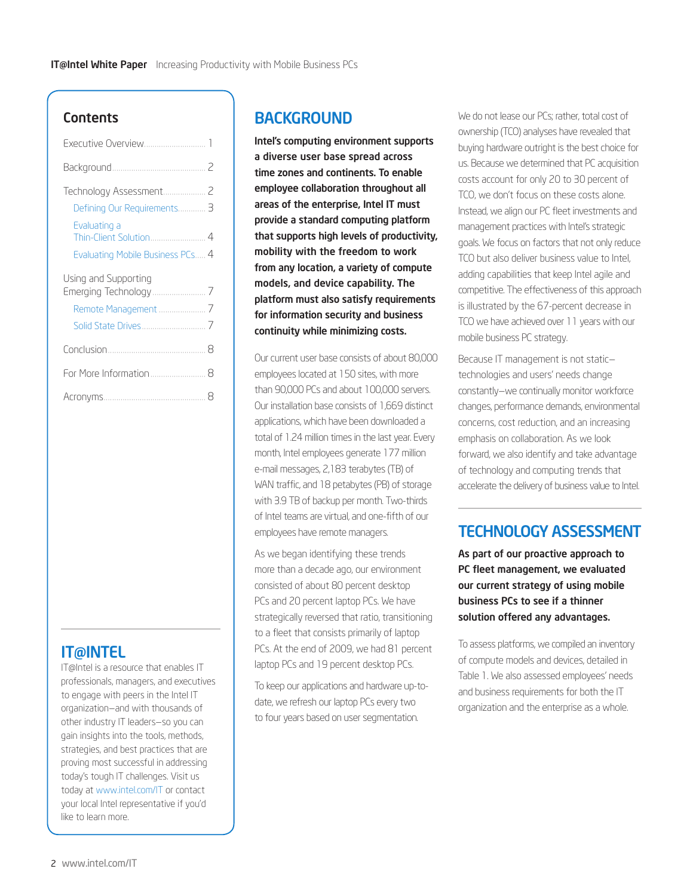### **Contents**

| Defining Our Requirements 3      |
|----------------------------------|
| Evaluating a                     |
| Evaluating Mobile Business PCs 4 |
| Using and Supporting             |
|                                  |
|                                  |
|                                  |
| For More Information  8          |
|                                  |

# IT@INTEL

IT@Intel is a resource that enables IT professionals, managers, and executives to engage with peers in the Intel IT organization—and with thousands of other industry IT leaders—so you can gain insights into the tools, methods, strategies, and best practices that are proving most successful in addressing today's tough IT challenges. Visit us today at www.intel.com/IT or contact your local Intel representative if you'd like to learn more.

# **BACKGROUND**

Intel's computing environment supports a diverse user base spread across time zones and continents. To enable employee collaboration throughout all areas of the enterprise, Intel IT must provide a standard computing platform that supports high levels of productivity, mobility with the freedom to work from any location, a variety of compute models, and device capability. The platform must also satisfy requirements for information security and business continuity while minimizing costs.

Our current user base consists of about 80,000 employees located at 150 sites, with more than 90,000 PCs and about 100,000 servers. Our installation base consists of 1,669 distinct applications, which have been downloaded a total of 1.24 million times in the last year. Every month, Intel employees generate 177 million e-mail messages, 2,183 terabytes (TB) of WAN traffic, and 18 petabytes (PB) of storage with 3.9 TB of backup per month. Two-thirds of Intel teams are virtual, and one-fifth of our employees have remote managers.

As we began identifying these trends more than a decade ago, our environment consisted of about 80 percent desktop PCs and 20 percent laptop PCs. We have strategically reversed that ratio, transitioning to a fleet that consists primarily of laptop PCs. At the end of 2009, we had 81 percent laptop PCs and 19 percent desktop PCs.

To keep our applications and hardware up-todate, we refresh our laptop PCs every two to four years based on user segmentation.

We do not lease our PCs; rather, total cost of ownership (TCO) analyses have revealed that buying hardware outright is the best choice for us. Because we determined that PC acquisition costs account for only 20 to 30 percent of TCO, we don't focus on these costs alone. Instead, we align our PC fleet investments and management practices with Intel's strategic goals. We focus on factors that not only reduce TCO but also deliver business value to Intel, adding capabilities that keep Intel agile and competitive. The effectiveness of this approach is illustrated by the 67-percent decrease in TCO we have achieved over 11 years with our mobile business PC strategy.

Because IT management is not static technologies and users' needs change constantly—we continually monitor workforce changes, performance demands, environmental concerns, cost reduction, and an increasing emphasis on collaboration. As we look forward, we also identify and take advantage of technology and computing trends that accelerate the delivery of business value to Intel.

# TECHNOLOGY ASSESSMENT

As part of our proactive approach to PC fleet management, we evaluated our current strategy of using mobile business PCs to see if a thinner solution offered any advantages.

To assess platforms, we compiled an inventory of compute models and devices, detailed in Table 1. We also assessed employees' needs and business requirements for both the IT organization and the enterprise as a whole.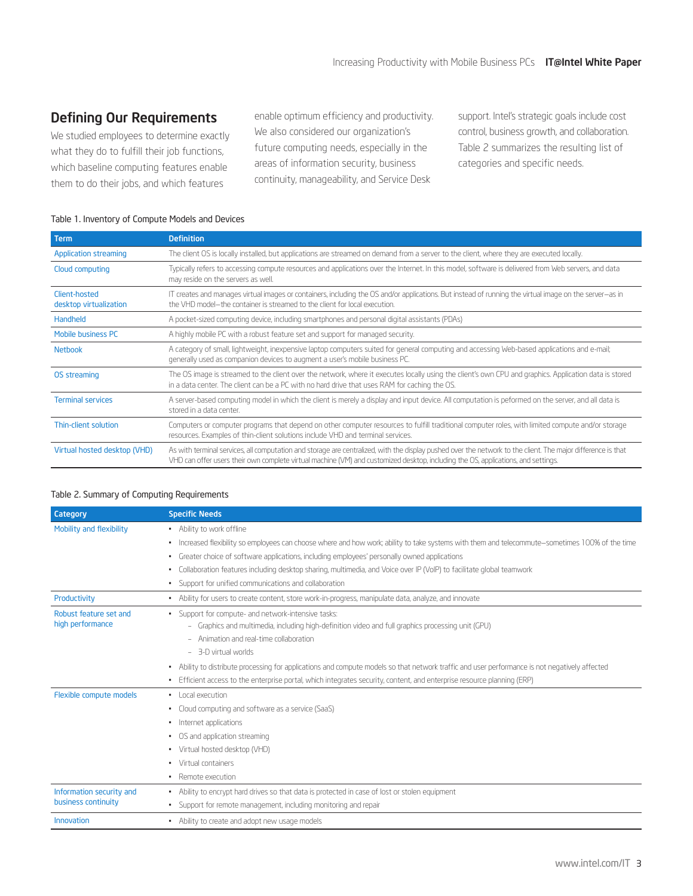## <span id="page-2-0"></span>Defining Our Requirements

We studied employees to determine exactly what they do to fulfill their job functions, which baseline computing features enable them to do their jobs, and which features

enable optimum efficiency and productivity. We also considered our organization's future computing needs, especially in the areas of information security, business continuity, manageability, and Service Desk

support. Intel's strategic goals include cost control, business growth, and collaboration. Table 2 summarizes the resulting list of categories and specific needs.

#### Table 1. Inventory of Compute Models and Devices

| <b>Definition</b>                                                                                                                                                                                                                                                                                 |
|---------------------------------------------------------------------------------------------------------------------------------------------------------------------------------------------------------------------------------------------------------------------------------------------------|
| The client OS is locally installed, but applications are streamed on demand from a server to the client, where they are executed locally.                                                                                                                                                         |
| Typically refers to accessing compute resources and applications over the Internet. In this model, software is delivered from Web servers, and data<br>may reside on the servers as well.                                                                                                         |
| IT creates and manages virtual images or containers, including the OS and/or applications. But instead of running the virtual image on the server-as in<br>the VHD model-the container is streamed to the client for local execution.                                                             |
| A pocket-sized computing device, including smartphones and personal digital assistants (PDAs)                                                                                                                                                                                                     |
| A highly mobile PC with a robust feature set and support for managed security.                                                                                                                                                                                                                    |
| A category of small, lightweight, inexpensive laptop computers suited for general computing and accessing Web-based applications and e-mail;<br>generally used as companion devices to augment a user's mobile business PC.                                                                       |
| The OS image is streamed to the client over the network, where it executes locally using the client's own CPU and graphics. Application data is stored<br>in a data center. The client can be a PC with no hard drive that uses RAM for caching the OS.                                           |
| A server-based computing model in which the client is merely a display and input device. All computation is peformed on the server, and all data is<br>stored in a data center.                                                                                                                   |
| Computers or computer programs that depend on other computer resources to fulfill traditional computer roles, with limited compute and/or storage<br>resources. Examples of thin-client solutions include VHD and terminal services.                                                              |
| As with terminal services, all computation and storage are centralized, with the display pushed over the network to the client. The major difference is that<br>VHD can offer users their own complete virtual machine (VM) and customized desktop, including the OS, applications, and settings. |
|                                                                                                                                                                                                                                                                                                   |

#### Table 2. Summary of Computing Requirements

| Category                                        | <b>Specific Needs</b>                                                                                                                            |
|-------------------------------------------------|--------------------------------------------------------------------------------------------------------------------------------------------------|
| Mobility and flexibility                        | • Ability to work offline                                                                                                                        |
|                                                 | • Increased flexibility so employees can choose where and how work; ability to take systems with them and telecommute–sometimes 100% of the time |
|                                                 | Greater choice of software applications, including employees' personally owned applications                                                      |
|                                                 | Collaboration features including desktop sharing, multimedia, and Voice over IP (VoIP) to facilitate global teamwork                             |
|                                                 | Support for unified communications and collaboration<br>$\sim$                                                                                   |
| Productivity                                    | - Ability for users to create content, store work-in-progress, manipulate data, analyze, and innovate                                            |
| Robust feature set and<br>high performance      | · Support for compute- and network-intensive tasks:                                                                                              |
|                                                 | - Graphics and multimedia, including high-definition video and full graphics processing unit (GPU)                                               |
|                                                 | Animation and real-time collaboration                                                                                                            |
|                                                 | $-$ 3-D virtual worlds                                                                                                                           |
|                                                 | - Ability to distribute processing for applications and compute models so that network traffic and user performance is not negatively affected   |
|                                                 | . Efficient access to the enterprise portal, which integrates security, content, and enterprise resource planning (ERP)                          |
| Flexible compute models                         | · Local execution                                                                                                                                |
|                                                 | Cloud computing and software as a service (SaaS)                                                                                                 |
|                                                 | Internet applications                                                                                                                            |
|                                                 | OS and application streaming                                                                                                                     |
|                                                 | Virtual hosted desktop (VHD)                                                                                                                     |
|                                                 | Virtual containers                                                                                                                               |
|                                                 | • Remote execution                                                                                                                               |
| Information security and<br>business continuity | - Ability to encrypt hard drives so that data is protected in case of lost or stolen equipment                                                   |
|                                                 | • Support for remote management, including monitoring and repair                                                                                 |
| Innovation                                      | • Ability to create and adopt new usage models                                                                                                   |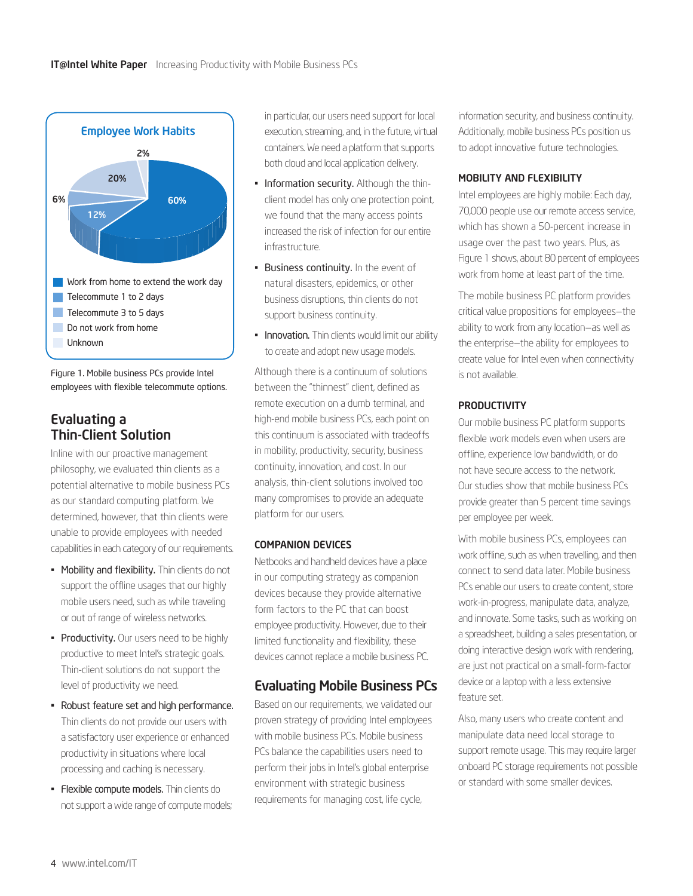<span id="page-3-0"></span>

Figure 1. Mobile business PCs provide Intel employees with flexible telecommute options.

## Evaluating a Thin-Client Solution

Inline with our proactive management philosophy, we evaluated thin clients as a potential alternative to mobile business PCs as our standard computing platform. We determined, however, that thin clients were unable to provide employees with needed capabilities in each category of our requirements.

- Mobility and flexibility. Thin clients do not support the offline usages that our highly mobile users need, such as while traveling or out of range of wireless networks.
- Productivity. Our users need to be highly productive to meet Intel's strategic goals. Thin-client solutions do not support the level of productivity we need.
- Robust feature set and high performance. Thin clients do not provide our users with a satisfactory user experience or enhanced productivity in situations where local processing and caching is necessary.
- Flexible compute models. Thin clients do not support a wide range of compute models;

in particular, our users need support for local execution, streaming, and, in the future, virtual containers. We need a platform that supports both cloud and local application delivery.

- Information security. Although the thinclient model has only one protection point, we found that the many access points increased the risk of infection for our entire infrastructure.
- Business continuity. In the event of natural disasters, epidemics, or other business disruptions, thin clients do not support business continuity.
- Innovation. Thin clients would limit our ability to create and adopt new usage models.

Although there is a continuum of solutions between the "thinnest" client, defined as remote execution on a dumb terminal, and high-end mobile business PCs, each point on this continuum is associated with tradeoffs in mobility, productivity, security, business continuity, innovation, and cost. In our analysis, thin-client solutions involved too many compromises to provide an adequate platform for our users.

#### COMPANION DEVICES

Netbooks and handheld devices have a place in our computing strategy as companion devices because they provide alternative form factors to the PC that can boost employee productivity. However, due to their limited functionality and flexibility, these devices cannot replace a mobile business PC.

### Evaluating Mobile Business PCs

Based on our requirements, we validated our proven strategy of providing Intel employees with mobile business PCs. Mobile business PCs balance the capabilities users need to perform their jobs in Intel's global enterprise environment with strategic business requirements for managing cost, life cycle,

information security, and business continuity. Additionally, mobile business PCs position us to adopt innovative future technologies.

#### MOBILITY AND FLEXIBILITY

Intel employees are highly mobile: Each day, 70,000 people use our remote access service, which has shown a 50-percent increase in usage over the past two years. Plus, as Figure 1 shows, about 80 percent of employees work from home at least part of the time.

The mobile business PC platform provides critical value propositions for employees—the ability to work from any location—as well as the enterprise—the ability for employees to create value for Intel even when connectivity is not available.

#### **PRODUCTIVITY**

Our mobile business PC platform supports flexible work models even when users are offline, experience low bandwidth, or do not have secure access to the network. Our studies show that mobile business PCs provide greater than 5 percent time savings per employee per week.

With mobile business PCs, employees can work offline, such as when travelling, and then connect to send data later. Mobile business PCs enable our users to create content, store work-in-progress, manipulate data, analyze, and innovate. Some tasks, such as working on a spreadsheet, building a sales presentation, or doing interactive design work with rendering, are just not practical on a small-form-factor device or a laptop with a less extensive feature set.

Also, many users who create content and manipulate data need local storage to support remote usage. This may require larger onboard PC storage requirements not possible or standard with some smaller devices.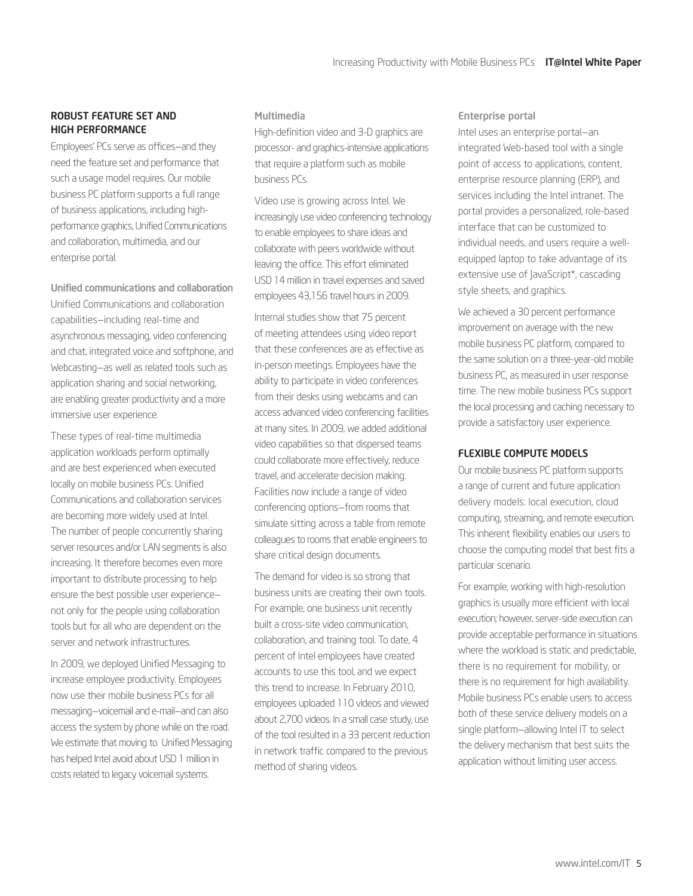#### ROBUST FEATURE SET AND HIGH PERFORMANCE

Employees' PCs serve as offices—and they need the feature set and performance that such a usage model requires. Our mobile business PC platform supports a full range of business applications, including highperformance graphics, Unified Communications and collaboration, multimedia, and our enterprise portal.

Unified communications and collaboration Unified Communications and collaboration capabilities—including real-time and asynchronous messaging, video conferencing and chat, integrated voice and softphone, and Webcasting—as well as related tools such as application sharing and social networking, are enabling greater productivity and a more immersive user experience.

These types of real-time multimedia application workloads perform optimally and are best experienced when executed locally on mobile business PCs. Unified Communications and collaboration services are becoming more widely used at Intel. The number of people concurrently sharing server resources and/or LAN segments is also increasing. It therefore becomes even more important to distribute processing to help ensure the best possible user experience not only for the people using collaboration tools but for all who are dependent on the server and network infrastructures.

In 2009, we deployed Unified Messaging to increase employee productivity. Employees now use their mobile business PCs for all messaging—voicemail and e-mail—and can also access the system by phone while on the road. We estimate that moving to Unified Messaging has helped Intel avoid about USD 1 million in costs related to legacy voicemail systems.

#### Multimedia

High-definition video and 3-D graphics are processor- and graphics-intensive applications that require a platform such as mobile business PCs.

Video use is growing across Intel. We increasingly use video conferencing technology to enable employees to share ideas and collaborate with peers worldwide without leaving the office. This effort eliminated USD 14 million in travel expenses and saved employees 43,156 travel hours in 2009.

Internal studies show that 75 percent of meeting attendees using video report that these conferences are as effective as in-person meetings. Employees have the ability to participate in video conferences from their desks using webcams and can access advanced video conferencing facilities at many sites. In 2009, we added additional video capabilities so that dispersed teams could collaborate more effectively, reduce travel, and accelerate decision making. Facilities now include a range of video conferencing options—from rooms that simulate sitting across a table from remote colleagues to rooms that enable engineers to share critical design documents.

The demand for video is so strong that business units are creating their own tools. For example, one business unit recently built a cross-site video communication, collaboration, and training tool. To date, 4 percent of Intel employees have created accounts to use this tool, and we expect this trend to increase. In February 2010, employees uploaded 110 videos and viewed about 2,700 videos. In a small case study, use of the tool resulted in a 33 percent reduction in network traffic compared to the previous method of sharing videos.

#### Enterprise portal

Intel uses an enterprise portal—an integrated Web-based tool with a single point of access to applications, content, enterprise resource planning (ERP), and services including the Intel intranet. The portal provides a personalized, role-based interface that can be customized to individual needs, and users require a wellequipped laptop to take advantage of its extensive use of JavaScript\*, cascading style sheets, and graphics.

We achieved a 30 percent performance improvement on average with the new mobile business PC platform, compared to the same solution on a three-year-old mobile business PC, as measured in user response time. The new mobile business PCs support the local processing and caching necessary to provide a satisfactory user experience.

#### FLEXIBLE COMPUTE MODELS

Our mobile business PC platform supports a range of current and future application delivery models: local execution, cloud computing, streaming, and remote execution. This inherent flexibility enables our users to choose the computing model that best fits a particular scenario.

For example, working with high-resolution graphics is usually more efficient with local execution; however, server-side execution can provide acceptable performance in situations where the workload is static and predictable, there is no requirement for mobility, or there is no requirement for high availability. Mobile business PCs enable users to access both of these service delivery models on a single platform—allowing Intel IT to select the delivery mechanism that best suits the application without limiting user access.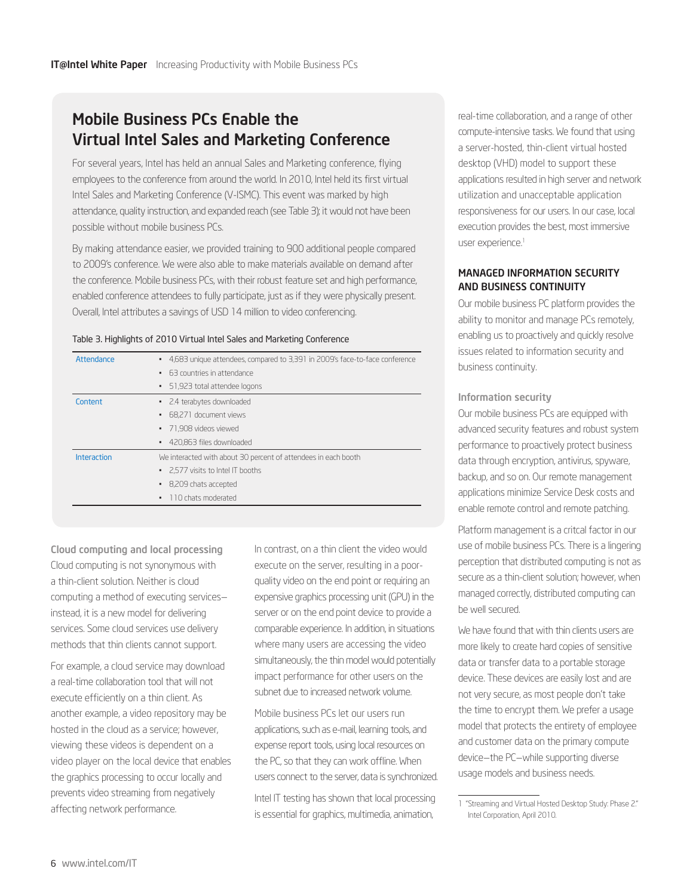# Mobile Business PCs Enable the Virtual Intel Sales and Marketing Conference

For several years, Intel has held an annual Sales and Marketing conference, flying employees to the conference from around the world. In 2010, Intel held its first virtual Intel Sales and Marketing Conference (V-ISMC). This event was marked by high attendance, quality instruction, and expanded reach (see Table 3); it would not have been possible without mobile business PCs.

By making attendance easier, we provided training to 900 additional people compared to 2009's conference. We were also able to make materials available on demand after the conference. Mobile business PCs, with their robust feature set and high performance, enabled conference attendees to fully participate, just as if they were physically present. Overall, Intel attributes a savings of USD 14 million to video conferencing.

#### Table 3. Highlights of 2010 Virtual Intel Sales and Marketing Conference

| Attendance  | • 4,683 unique attendees, compared to 3,391 in 2009's face-to-face conference |
|-------------|-------------------------------------------------------------------------------|
|             | 63 countries in attendance<br>٠                                               |
|             | 51,923 total attendee logons<br>٠                                             |
| Content     | • 2.4 terabytes downloaded                                                    |
|             | • 68.271 document views                                                       |
|             | • 71.908 videos viewed                                                        |
|             | • 420,863 files downloaded                                                    |
| Interaction | We interacted with about 30 percent of attendees in each booth                |
|             | • 2.577 visits to Intel IT booths                                             |
|             | • 8,209 chats accepted                                                        |
|             | 110 chats moderated<br>٠                                                      |
|             |                                                                               |

Cloud computing and local processing Cloud computing is not synonymous with a thin-client solution. Neither is cloud computing a method of executing services instead, it is a new model for delivering services. Some cloud services use delivery methods that thin clients cannot support.

For example, a cloud service may download a real-time collaboration tool that will not execute efficiently on a thin client. As another example, a video repository may be hosted in the cloud as a service; however, viewing these videos is dependent on a video player on the local device that enables the graphics processing to occur locally and prevents video streaming from negatively affecting network performance.

In contrast, on a thin client the video would execute on the server, resulting in a poorquality video on the end point or requiring an expensive graphics processing unit (GPU) in the server or on the end point device to provide a comparable experience. In addition, in situations where many users are accessing the video simultaneously, the thin model would potentially impact performance for other users on the subnet due to increased network volume.

Mobile business PCs let our users run applications, such as e-mail, learning tools, and expense report tools, using local resources on the PC, so that they can work offline. When users connect to the server, data is synchronized.

Intel IT testing has shown that local processing is essential for graphics, multimedia, animation,

real-time collaboration, and a range of other compute-intensive tasks. We found that using a server-hosted, thin-client virtual hosted desktop (VHD) model to support these applications resulted in high server and network utilization and unacceptable application responsiveness for our users. In our case, local execution provides the best, most immersive user experience.<sup>1</sup>

#### MANAGED INFORMATION SECURITY AND BUSINESS CONTINUITY

Our mobile business PC platform provides the ability to monitor and manage PCs remotely, enabling us to proactively and quickly resolve issues related to information security and business continuity.

#### Information security

Our mobile business PCs are equipped with advanced security features and robust system performance to proactively protect business data through encryption, antivirus, spyware, backup, and so on. Our remote management applications minimize Service Desk costs and enable remote control and remote patching.

Platform management is a critcal factor in our use of mobile business PCs. There is a lingering perception that distributed computing is not as secure as a thin-client solution; however, when managed correctly, distributed computing can be well secured.

We have found that with thin clients users are more likely to create hard copies of sensitive data or transfer data to a portable storage device. These devices are easily lost and are not very secure, as most people don't take the time to encrypt them. We prefer a usage model that protects the entirety of employee and customer data on the primary compute device—the PC—while supporting diverse usage models and business needs.

<sup>1 &</sup>quot;Streaming and Virtual Hosted Desktop Study: Phase 2." Intel Corporation, April 2010.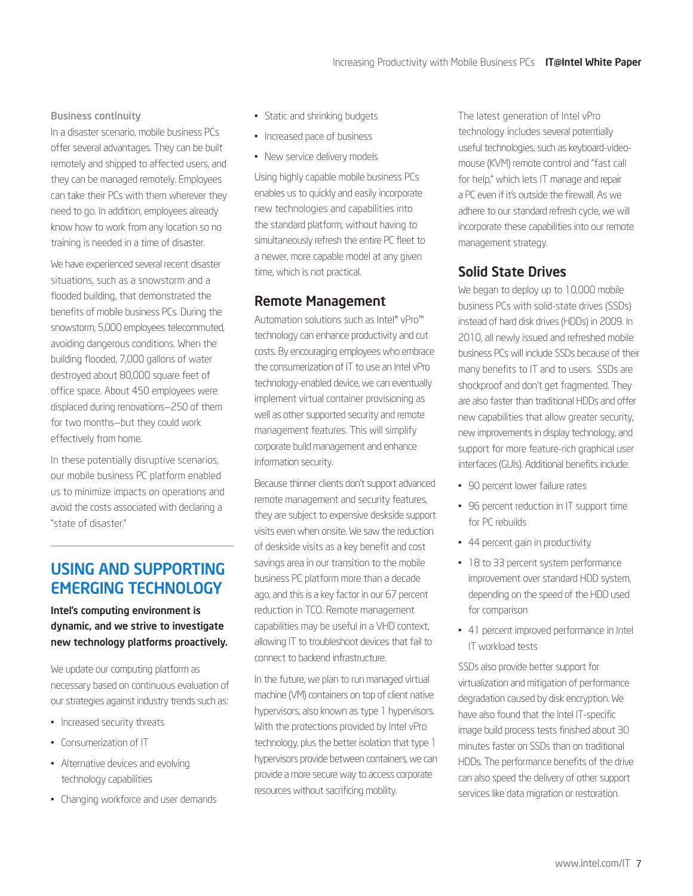#### <span id="page-6-0"></span>Business continuity

In a disaster scenario, mobile business PCs offer several advantages. They can be built remotely and shipped to affected users, and they can be managed remotely. Employees can take their PCs with them wherever they need to go. In addition, employees already know how to work from any location so no training is needed in a time of disaster.

We have experienced several recent disaster situations, such as a snowstorm and a flooded building, that demonstrated the benefits of mobile business PCs. During the snowstorm, 5,000 employees telecommuted, avoiding dangerous conditions. When the building flooded, 7,000 gallons of water destroyed about 80,000 square feet of office space. About 450 employees were displaced during renovations—250 of them for two months—but they could work effectively from home.

In these potentially disruptive scenarios, our mobile business PC platform enabled us to minimize impacts on operations and avoid the costs associated with declaring a "state of disaster."

# USING AND SUPPORTING EMERGING TECHNOLOGY

#### Intel's computing environment is dynamic, and we strive to investigate new technology platforms proactively.

We update our computing platform as necessary based on continuous evaluation of our strategies against industry trends such as:

- Increased security threats
- Consumerization of IT
- Alternative devices and evolving technology capabilities
- Changing workforce and user demands
- Static and shrinking budgets
- Increased pace of business
- New service delivery models

Using highly capable mobile business PCs enables us to quickly and easily incorporate new technologies and capabilities into the standard platform, without having to simultaneously refresh the entire PC fleet to a newer, more capable model at any given time, which is not practical.

## Remote Management

Automation solutions such as Intel® vPro™ technology can enhance productivity and cut costs. By encouraging employees who embrace the consumerization of IT to use an Intel vPro technology-enabled device, we can eventually implement virtual container provisioning as well as other supported security and remote management features. This will simplify corporate build management and enhance information security.

Because thinner clients don't support advanced remote management and security features, they are subject to expensive deskside support visits even when onsite. We saw the reduction of deskside visits as a key benefit and cost savings area in our transition to the mobile business PC platform more than a decade ago, and this is a key factor in our 67 percent reduction in TCO. Remote management capabilities may be useful in a VHD context, allowing IT to troubleshoot devices that fail to connect to backend infrastructure.

In the future, we plan to run managed virtual machine (VM) containers on top of client native hypervisors, also known as type 1 hypervisors. With the protections provided by Intel vPro technology, plus the better isolation that type 1 hypervisors provide between containers, we can provide a more secure way to access corporate resources without sacrificing mobility.

The latest generation of Intel vPro technology includes several potentially useful technologies, such as keyboard-videomouse (KVM) remote control and "fast call for help," which lets IT manage and repair a PC even if it's outside the firewall. As we adhere to our standard refresh cycle, we will incorporate these capabilities into our remote management strategy.

# Solid State Drives

We began to deploy up to 10,000 mobile business PCs with solid-state drives (SSDs) instead of hard disk drives (HDDs) in 2009. In 2010, all newly issued and refreshed mobile business PCs will include SSDs because of their many benefits to IT and to users. SSDs are shockproof and don't get fragmented. They are also faster than traditional HDDs and offer new capabilities that allow greater security, new improvements in display technology, and support for more feature-rich graphical user interfaces (GUIs). Additional benefits include:

- 90 percent lower failure rates
- 96 percent reduction in IT support time for PC rebuilds
- 44 percent gain in productivity
- 18 to 33 percent system performance improvement over standard HDD system, depending on the speed of the HDD used for comparison
- 41 percent improved performance in Intel IT workload tests

SSDs also provide better support for virtualization and mitigation of performance degradation caused by disk encryption. We have also found that the Intel IT-specific image build process tests finished about 30 minutes faster on SSDs than on traditional HDDs. The performance benefits of the drive can also speed the delivery of other support services like data migration or restoration.